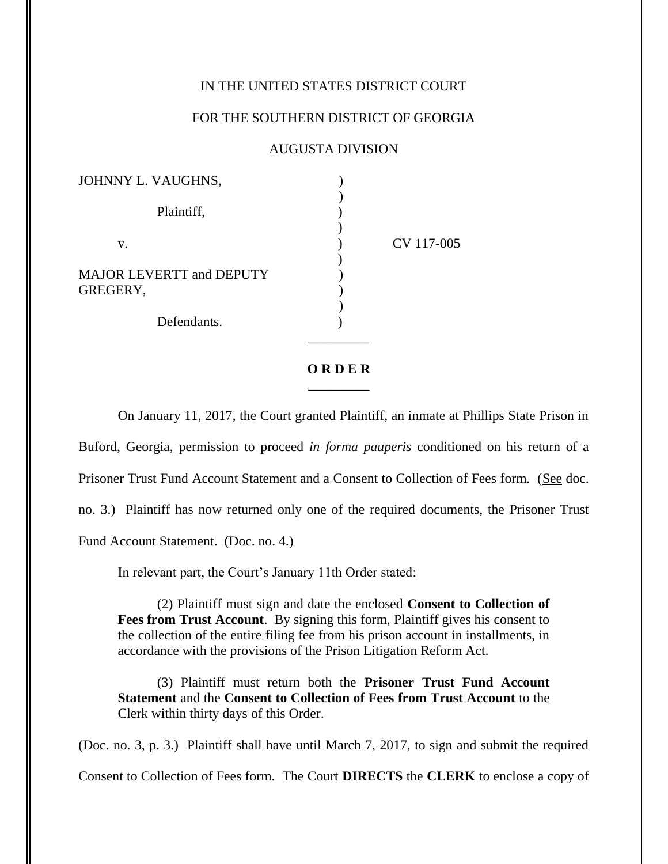## IN THE UNITED STATES DISTRICT COURT

## FOR THE SOUTHERN DISTRICT OF GEORGIA

## AUGUSTA DIVISION

| JOHNNY L. VAUGHNS,                          |            |
|---------------------------------------------|------------|
| Plaintiff,                                  |            |
| V.                                          | CV 117-005 |
| <b>MAJOR LEVERTT and DEPUTY</b><br>GREGERY, |            |
| Defendants.                                 |            |

## **O R D E R**  $\frac{1}{\sqrt{2}}$

On January 11, 2017, the Court granted Plaintiff, an inmate at Phillips State Prison in Buford, Georgia, permission to proceed *in forma pauperis* conditioned on his return of a Prisoner Trust Fund Account Statement and a Consent to Collection of Fees form. (See doc. no. 3.) Plaintiff has now returned only one of the required documents, the Prisoner Trust Fund Account Statement. (Doc. no. 4.)

In relevant part, the Court's January 11th Order stated:

(2) Plaintiff must sign and date the enclosed **Consent to Collection of Fees from Trust Account**. By signing this form, Plaintiff gives his consent to the collection of the entire filing fee from his prison account in installments, in accordance with the provisions of the Prison Litigation Reform Act.

(3) Plaintiff must return both the **Prisoner Trust Fund Account Statement** and the **Consent to Collection of Fees from Trust Account** to the Clerk within thirty days of this Order.

(Doc. no. 3, p. 3.) Plaintiff shall have until March 7, 2017, to sign and submit the required Consent to Collection of Fees form. The Court **DIRECTS** the **CLERK** to enclose a copy of